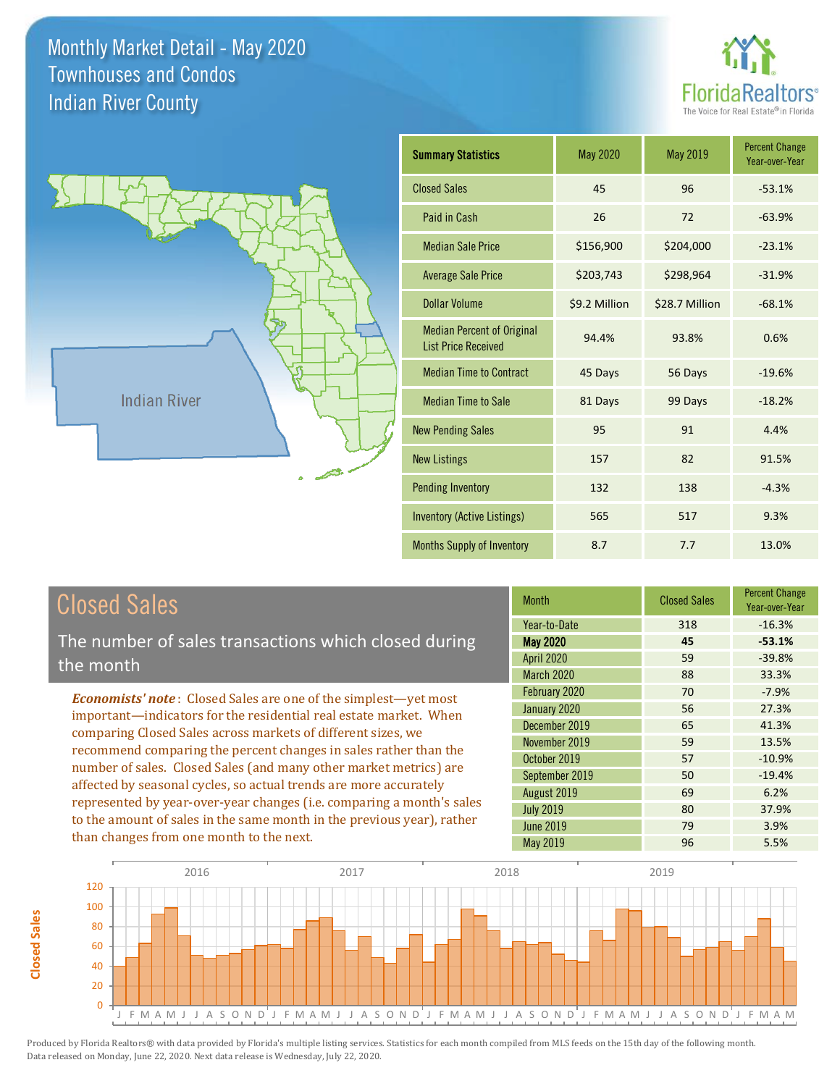



| <b>Summary Statistics</b>                                       | May 2020      | <b>May 2019</b> | <b>Percent Change</b><br>Year-over-Year |
|-----------------------------------------------------------------|---------------|-----------------|-----------------------------------------|
| <b>Closed Sales</b>                                             | 45            | 96              | $-53.1%$                                |
| Paid in Cash                                                    | 26            | 72              | $-63.9%$                                |
| <b>Median Sale Price</b>                                        | \$156,900     | \$204,000       | $-23.1%$                                |
| <b>Average Sale Price</b>                                       | \$203,743     | \$298,964       | $-31.9%$                                |
| Dollar Volume                                                   | \$9.2 Million | \$28.7 Million  | $-68.1%$                                |
| <b>Median Percent of Original</b><br><b>List Price Received</b> | 94.4%         | 93.8%           | 0.6%                                    |
| <b>Median Time to Contract</b>                                  | 45 Days       | 56 Days         | $-19.6%$                                |
| <b>Median Time to Sale</b>                                      | 81 Days       | 99 Days         | $-18.2%$                                |
| <b>New Pending Sales</b>                                        | 95            | 91              | 4.4%                                    |
| <b>New Listings</b>                                             | 157           | 82              | 91.5%                                   |
| <b>Pending Inventory</b>                                        | 132           | 138             | $-4.3%$                                 |
| <b>Inventory (Active Listings)</b>                              | 565           | 517             | 9.3%                                    |
| Months Supply of Inventory                                      | 8.7           | 7.7             | 13.0%                                   |

| <b>Closed Sales</b> |  |
|---------------------|--|
|---------------------|--|

**Closed Sales**

**Closed Sales** 

The number of sales transactions which closed during the month

*Economists' note* : Closed Sales are one of the simplest—yet most important—indicators for the residential real estate market. When comparing Closed Sales across markets of different sizes, we recommend comparing the percent changes in sales rather than the number of sales. Closed Sales (and many other market metrics) are affected by seasonal cycles, so actual trends are more accurately represented by year-over-year changes (i.e. comparing a month's sales to the amount of sales in the same month in the previous year), rather than changes from one month to the next.

| <b>Month</b>      | <b>Closed Sales</b> | <b>Percent Change</b><br>Year-over-Year |  |
|-------------------|---------------------|-----------------------------------------|--|
| Year-to-Date      | 318                 | $-16.3%$                                |  |
| <b>May 2020</b>   | 45                  | $-53.1%$                                |  |
| <b>April 2020</b> | 59                  | $-39.8%$                                |  |
| March 2020        | 88                  | 33.3%                                   |  |
| February 2020     | 70                  | $-7.9%$                                 |  |
| January 2020      | 56                  | 27.3%                                   |  |
| December 2019     | 65                  | 41.3%                                   |  |
| November 2019     | 59                  | 13.5%                                   |  |
| October 2019      | 57                  | $-10.9%$                                |  |
| September 2019    | 50                  | $-19.4%$                                |  |
| August 2019       | 69                  | 6.2%                                    |  |
| <b>July 2019</b>  | 80                  | 37.9%                                   |  |
| <b>June 2019</b>  | 79                  | 3.9%                                    |  |
| <b>May 2019</b>   | 96                  | 5.5%                                    |  |

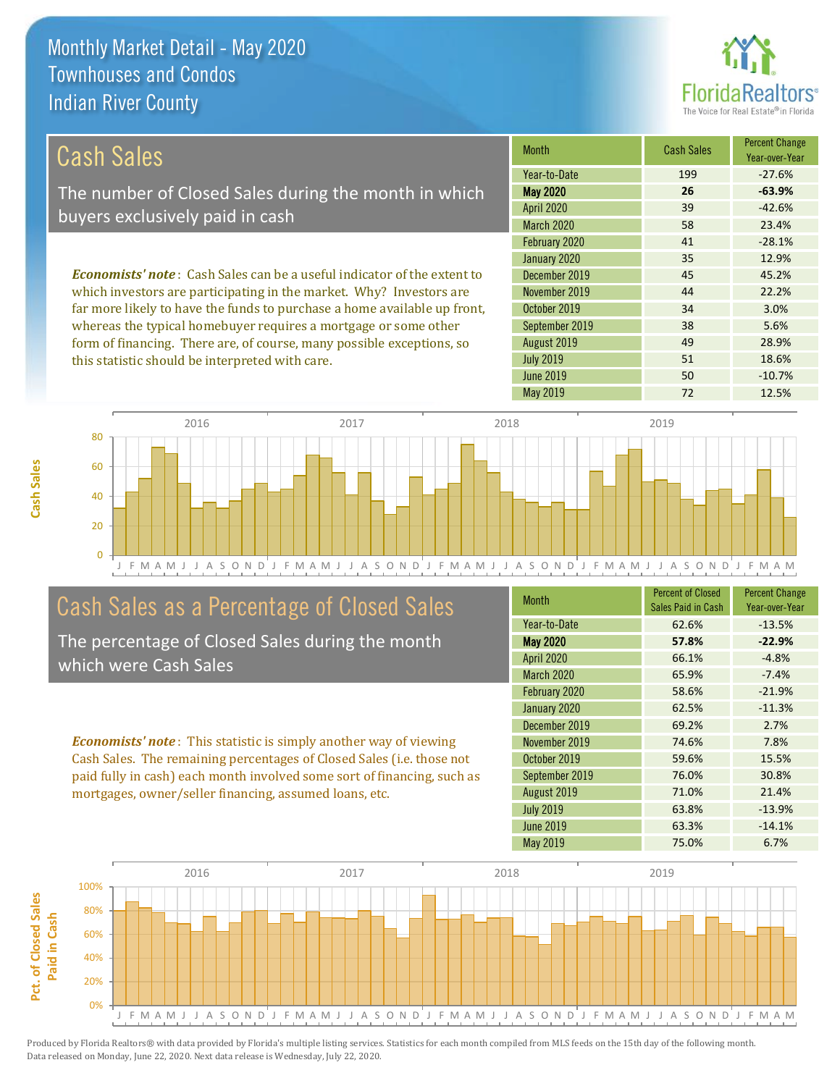

51 18.6%

49 28.9%

| Cash Sales                                                                     | <b>Month</b>      | <b>Cash Sales</b> | <b>Percent Change</b><br>Year-over-Year |
|--------------------------------------------------------------------------------|-------------------|-------------------|-----------------------------------------|
|                                                                                | Year-to-Date      | 199               | $-27.6%$                                |
| The number of Closed Sales during the month in which                           | <b>May 2020</b>   | 26                | $-63.9%$                                |
| buyers exclusively paid in cash                                                | <b>April 2020</b> | 39                | $-42.6%$                                |
|                                                                                | March 2020        | 58                | 23.4%                                   |
|                                                                                | February 2020     | 41                | $-28.1%$                                |
|                                                                                | January 2020      | 35                | 12.9%                                   |
| <b>Economists' note:</b> Cash Sales can be a useful indicator of the extent to | December 2019     | 45                | 45.2%                                   |
| which investors are participating in the market. Why? Investors are            | November 2019     | 44                | 22.2%                                   |
| far more likely to have the funds to purchase a home available up front,       | October 2019      | 34                | 3.0%                                    |
| whereas the typical homebuyer requires a mortgage or some other                | September 2019    | 38                | 5.6%                                    |

August 2019

July 2019

J F M A M J J A S O N D J F M A M J J A S O N D J F M A M J J A S O N D J F M A M J J A S O N D J F M A M 0 20 40 60 80 2016 2017 2017 2018 2019 2019

# Cash Sales as a Percentage of Closed Sales

form of financing. There are, of course, many possible exceptions, so

this statistic should be interpreted with care.

The percentage of Closed Sales during the month which were Cash Sales

*Economists' note* : This statistic is simply another way of viewing Cash Sales. The remaining percentages of Closed Sales (i.e. those not paid fully in cash) each month involved some sort of financing, such as mortgages, owner/seller financing, assumed loans, etc.

| <b>Month</b>      | <b>Percent of Closed</b><br>Sales Paid in Cash | <b>Percent Change</b><br>Year-over-Year |
|-------------------|------------------------------------------------|-----------------------------------------|
| Year-to-Date      | 62.6%                                          | $-13.5%$                                |
| <b>May 2020</b>   | 57.8%                                          | $-22.9%$                                |
| April 2020        | 66.1%                                          | $-4.8%$                                 |
| <b>March 2020</b> | 65.9%                                          | $-7.4%$                                 |
| February 2020     | 58.6%                                          | $-21.9%$                                |
| January 2020      | 62.5%                                          | $-11.3%$                                |
| December 2019     | 69.2%                                          | 2.7%                                    |
| November 2019     | 74.6%                                          | 7.8%                                    |
| October 2019      | 59.6%                                          | 15.5%                                   |
| September 2019    | 76.0%                                          | 30.8%                                   |
| August 2019       | 71.0%                                          | 21.4%                                   |
| <b>July 2019</b>  | 63.8%                                          | $-13.9%$                                |
| June 2019         | 63.3%                                          | $-14.1%$                                |
| May 2019          | 75.0%                                          | 6.7%                                    |

June 2019 **50** -10.7%

May 2019 72 12.5%



**Cash Sales**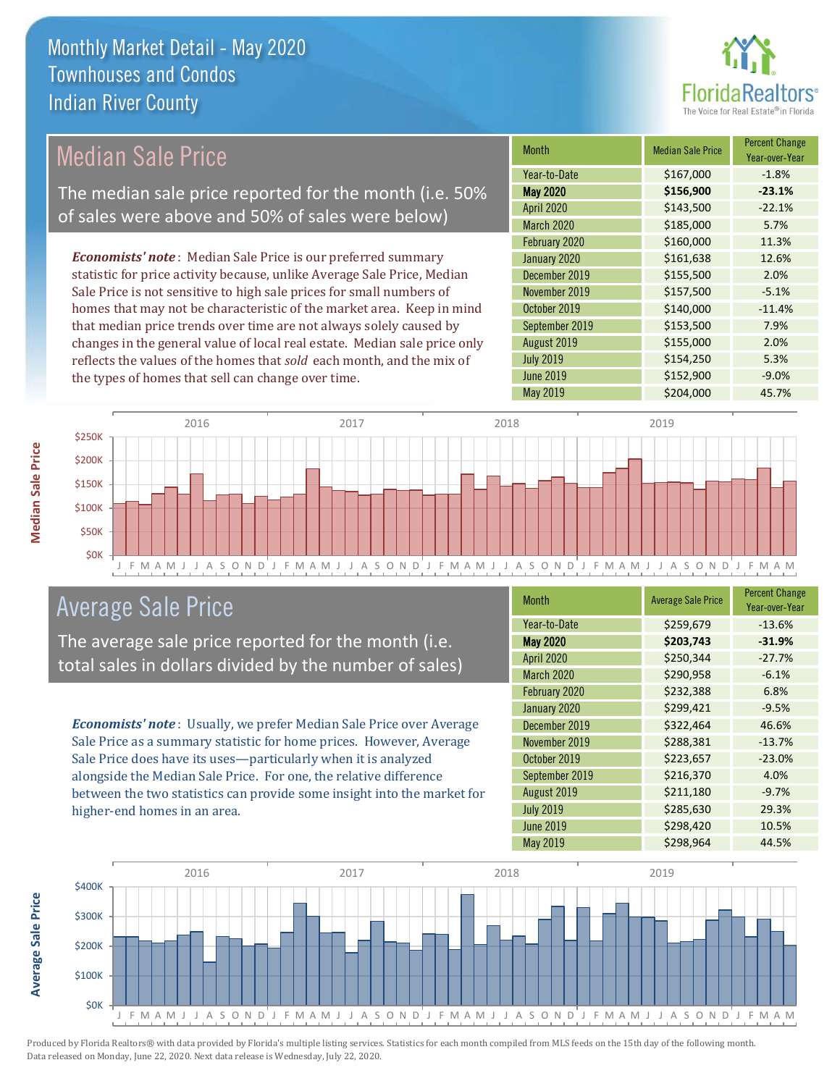

# Median Sale Price

The median sale price reported for the month (i.e. 50% of sales were above and 50% of sales were below)

*Economists' note* : Median Sale Price is our preferred summary statistic for price activity because, unlike Average Sale Price, Median Sale Price is not sensitive to high sale prices for small numbers of homes that may not be characteristic of the market area. Keep in mind that median price trends over time are not always solely caused by changes in the general value of local real estate. Median sale price only reflects the values of the homes that *sold* each month, and the mix of the types of homes that sell can change over time.

| <b>Month</b>      | <b>Median Sale Price</b> | <b>Percent Change</b><br>Year-over-Year |
|-------------------|--------------------------|-----------------------------------------|
| Year-to-Date      | \$167,000                | $-1.8%$                                 |
| <b>May 2020</b>   | \$156,900                | $-23.1%$                                |
| <b>April 2020</b> | \$143,500                | $-22.1%$                                |
| March 2020        | \$185,000                | 5.7%                                    |
| February 2020     | \$160,000                | 11.3%                                   |
| January 2020      | \$161,638                | 12.6%                                   |
| December 2019     | \$155,500                | 2.0%                                    |
| November 2019     | \$157,500                | $-5.1%$                                 |
| October 2019      | \$140,000                | $-11.4%$                                |
| September 2019    | \$153,500                | 7.9%                                    |
| August 2019       | \$155,000                | 2.0%                                    |
| <b>July 2019</b>  | \$154,250                | 5.3%                                    |
| June 2019         | \$152,900                | $-9.0%$                                 |
| <b>May 2019</b>   | \$204,000                | 45.7%                                   |



### Average Sale Price

The average sale price reported for the month (i.e. total sales in dollars divided by the number of sales)

*Economists' note* : Usually, we prefer Median Sale Price over Average Sale Price as a summary statistic for home prices. However, Average Sale Price does have its uses—particularly when it is analyzed alongside the Median Sale Price. For one, the relative difference between the two statistics can provide some insight into the market for higher-end homes in an area.

| Month             | <b>Average Sale Price</b> | <b>Percent Change</b><br>Year-over-Year |
|-------------------|---------------------------|-----------------------------------------|
| Year-to-Date      | \$259,679                 | $-13.6%$                                |
| <b>May 2020</b>   | \$203,743                 | $-31.9%$                                |
| April 2020        | \$250,344                 | $-27.7%$                                |
| <b>March 2020</b> | \$290,958                 | $-6.1%$                                 |
| February 2020     | \$232,388                 | 6.8%                                    |
| January 2020      | \$299,421                 | $-9.5%$                                 |
| December 2019     | \$322,464                 | 46.6%                                   |
| November 2019     | \$288,381                 | $-13.7%$                                |
| October 2019      | \$223,657                 | $-23.0%$                                |
| September 2019    | \$216,370                 | 4.0%                                    |
| August 2019       | \$211,180                 | $-9.7%$                                 |
| <b>July 2019</b>  | \$285,630                 | 29.3%                                   |
| <b>June 2019</b>  | \$298,420                 | 10.5%                                   |
| May 2019          | \$298,964                 | 44.5%                                   |



Produced by Florida Realtors® with data provided by Florida's multiple listing services. Statistics for each month compiled from MLS feeds on the 15th day of the following month. Data released on Monday, June 22, 2020. Next data release is Wednesday, July 22, 2020.

**Average Sale Price**

**Average Sale Price**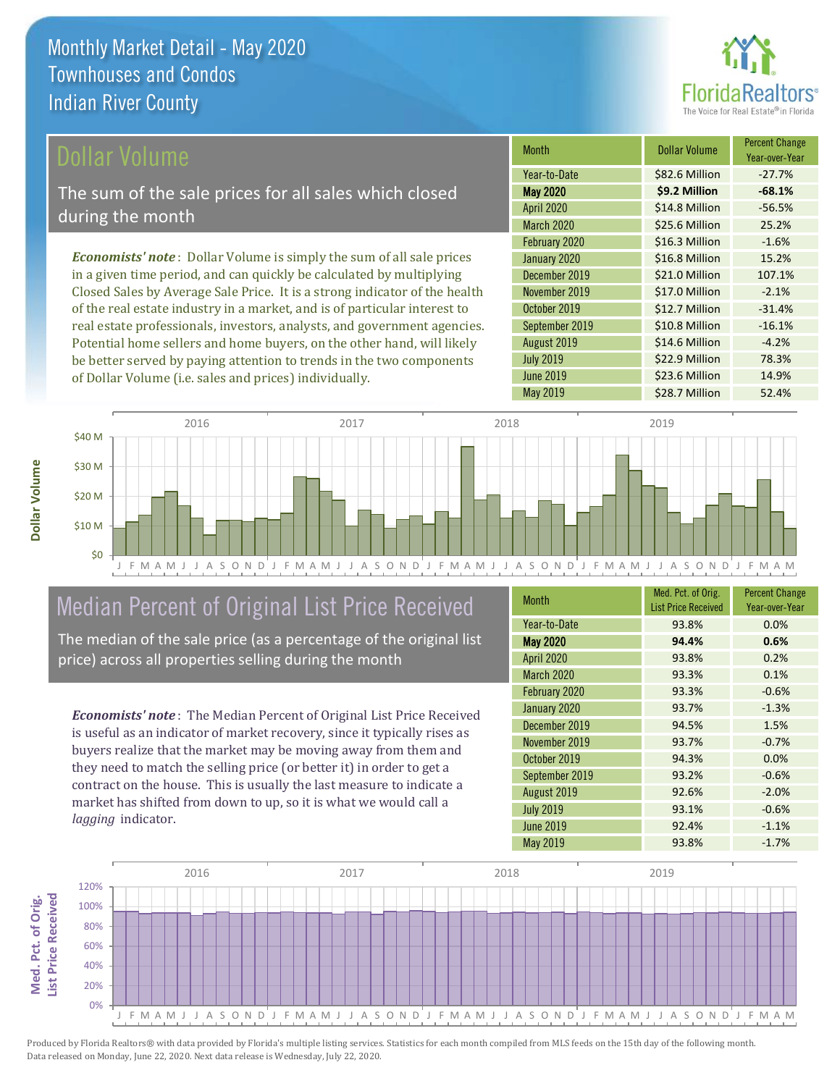

### Dollar Volume

The sum of the sale prices for all sales which closed during the month

*Economists' note* : Dollar Volume is simply the sum of all sale prices in a given time period, and can quickly be calculated by multiplying Closed Sales by Average Sale Price. It is a strong indicator of the health of the real estate industry in a market, and is of particular interest to real estate professionals, investors, analysts, and government agencies. Potential home sellers and home buyers, on the other hand, will likely be better served by paying attention to trends in the two components of Dollar Volume (i.e. sales and prices) individually.

| <b>Month</b>      | Dollar Volume  | <b>Percent Change</b><br>Year-over-Year |
|-------------------|----------------|-----------------------------------------|
| Year-to-Date      | \$82.6 Million | $-27.7%$                                |
| <b>May 2020</b>   | \$9.2 Million  | $-68.1%$                                |
| <b>April 2020</b> | \$14.8 Million | $-56.5%$                                |
| <b>March 2020</b> | \$25.6 Million | 25.2%                                   |
| February 2020     | \$16.3 Million | $-1.6%$                                 |
| January 2020      | \$16.8 Million | 15.2%                                   |
| December 2019     | \$21.0 Million | 107.1%                                  |
| November 2019     | \$17.0 Million | $-2.1%$                                 |
| October 2019      | \$12.7 Million | $-31.4%$                                |
| September 2019    | \$10.8 Million | $-16.1%$                                |
| August 2019       | \$14.6 Million | $-4.2%$                                 |
| <b>July 2019</b>  | \$22.9 Million | 78.3%                                   |
| <b>June 2019</b>  | \$23.6 Million | 14.9%                                   |
| <b>May 2019</b>   | \$28.7 Million | 52.4%                                   |



# Median Percent of Original List Price Received

The median of the sale price (as a percentage of the original list price) across all properties selling during the month

*Economists' note* : The Median Percent of Original List Price Received is useful as an indicator of market recovery, since it typically rises as buyers realize that the market may be moving away from them and they need to match the selling price (or better it) in order to get a contract on the house. This is usually the last measure to indicate a market has shifted from down to up, so it is what we would call a *lagging* indicator.

| <b>Month</b>      | Med. Pct. of Orig.<br><b>List Price Received</b> | <b>Percent Change</b><br>Year-over-Year |
|-------------------|--------------------------------------------------|-----------------------------------------|
| Year-to-Date      | 93.8%                                            | 0.0%                                    |
| <b>May 2020</b>   | 94.4%                                            | 0.6%                                    |
| <b>April 2020</b> | 93.8%                                            | 0.2%                                    |
| March 2020        | 93.3%                                            | 0.1%                                    |
| February 2020     | 93.3%                                            | $-0.6%$                                 |
| January 2020      | 93.7%                                            | $-1.3%$                                 |
| December 2019     | 94.5%                                            | 1.5%                                    |
| November 2019     | 93.7%                                            | $-0.7%$                                 |
| October 2019      | 94.3%                                            | 0.0%                                    |
| September 2019    | 93.2%                                            | $-0.6%$                                 |
| August 2019       | 92.6%                                            | $-2.0%$                                 |
| <b>July 2019</b>  | 93.1%                                            | $-0.6%$                                 |
| <b>June 2019</b>  | 92.4%                                            | $-1.1%$                                 |
| <b>May 2019</b>   | 93.8%                                            | $-1.7%$                                 |

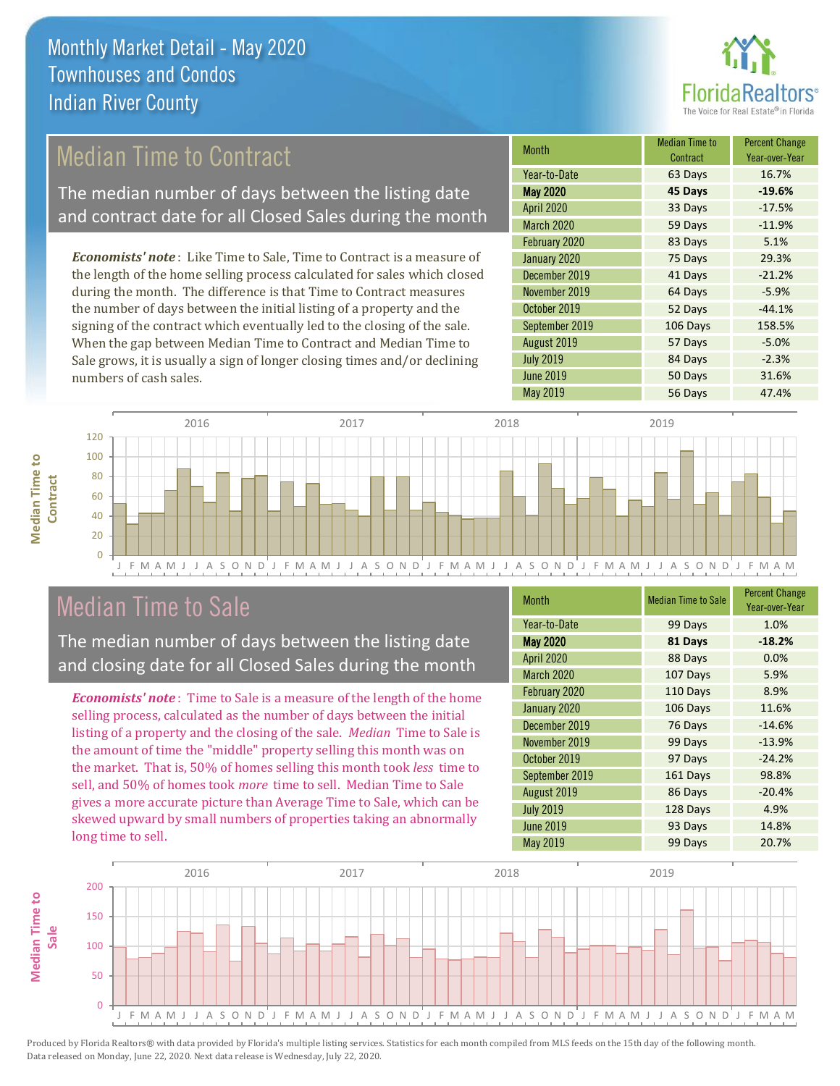

# Median Time to Contract

The median number of days between the listing date and contract date for all Closed Sales during the month

*Economists' note* : Like Time to Sale, Time to Contract is a measure of the length of the home selling process calculated for sales which closed during the month. The difference is that Time to Contract measures the number of days between the initial listing of a property and the signing of the contract which eventually led to the closing of the sale. When the gap between Median Time to Contract and Median Time to Sale grows, it is usually a sign of longer closing times and/or declining numbers of cash sales.

| <b>Month</b>      | <b>Median Time to</b><br>Contract | <b>Percent Change</b><br>Year-over-Year |
|-------------------|-----------------------------------|-----------------------------------------|
| Year-to-Date      | 63 Days                           | 16.7%                                   |
| <b>May 2020</b>   | 45 Days                           | $-19.6%$                                |
| <b>April 2020</b> | 33 Days                           | $-17.5%$                                |
| March 2020        | 59 Days                           | $-11.9%$                                |
| February 2020     | 83 Days                           | 5.1%                                    |
| January 2020      | 75 Days                           | 29.3%                                   |
| December 2019     | 41 Days                           | $-21.2%$                                |
| November 2019     | 64 Days                           | $-5.9%$                                 |
| October 2019      | 52 Days                           | $-44.1%$                                |
| September 2019    | 106 Days                          | 158.5%                                  |
| August 2019       | 57 Days                           | $-5.0%$                                 |
| <b>July 2019</b>  | 84 Days                           | $-2.3%$                                 |
| <b>June 2019</b>  | 50 Days                           | 31.6%                                   |
| <b>May 2019</b>   | 56 Days                           | 47.4%                                   |



### Median Time to Sale

**Median Time to Contract**

**Median Time to** 

The median number of days between the listing date and closing date for all Closed Sales during the month

*Economists' note* : Time to Sale is a measure of the length of the home selling process, calculated as the number of days between the initial listing of a property and the closing of the sale. *Median* Time to Sale is the amount of time the "middle" property selling this month was on the market. That is, 50% of homes selling this month took *less* time to sell, and 50% of homes took *more* time to sell. Median Time to Sale gives a more accurate picture than Average Time to Sale, which can be skewed upward by small numbers of properties taking an abnormally long time to sell.

| <b>Month</b>      | <b>Median Time to Sale</b> | <b>Percent Change</b><br>Year-over-Year |
|-------------------|----------------------------|-----------------------------------------|
| Year-to-Date      | 99 Days                    | 1.0%                                    |
| <b>May 2020</b>   | 81 Days                    | $-18.2%$                                |
| <b>April 2020</b> | 88 Days                    | 0.0%                                    |
| March 2020        | 107 Days                   | 5.9%                                    |
| February 2020     | 110 Days                   | 8.9%                                    |
| January 2020      | 106 Days                   | 11.6%                                   |
| December 2019     | 76 Days                    | $-14.6%$                                |
| November 2019     | 99 Days                    | $-13.9%$                                |
| October 2019      | 97 Days                    | $-24.2%$                                |
| September 2019    | 161 Days                   | 98.8%                                   |
| August 2019       | 86 Days                    | $-20.4%$                                |
| <b>July 2019</b>  | 128 Days                   | 4.9%                                    |
| <b>June 2019</b>  | 93 Days                    | 14.8%                                   |
| <b>May 2019</b>   | 99 Days                    | 20.7%                                   |

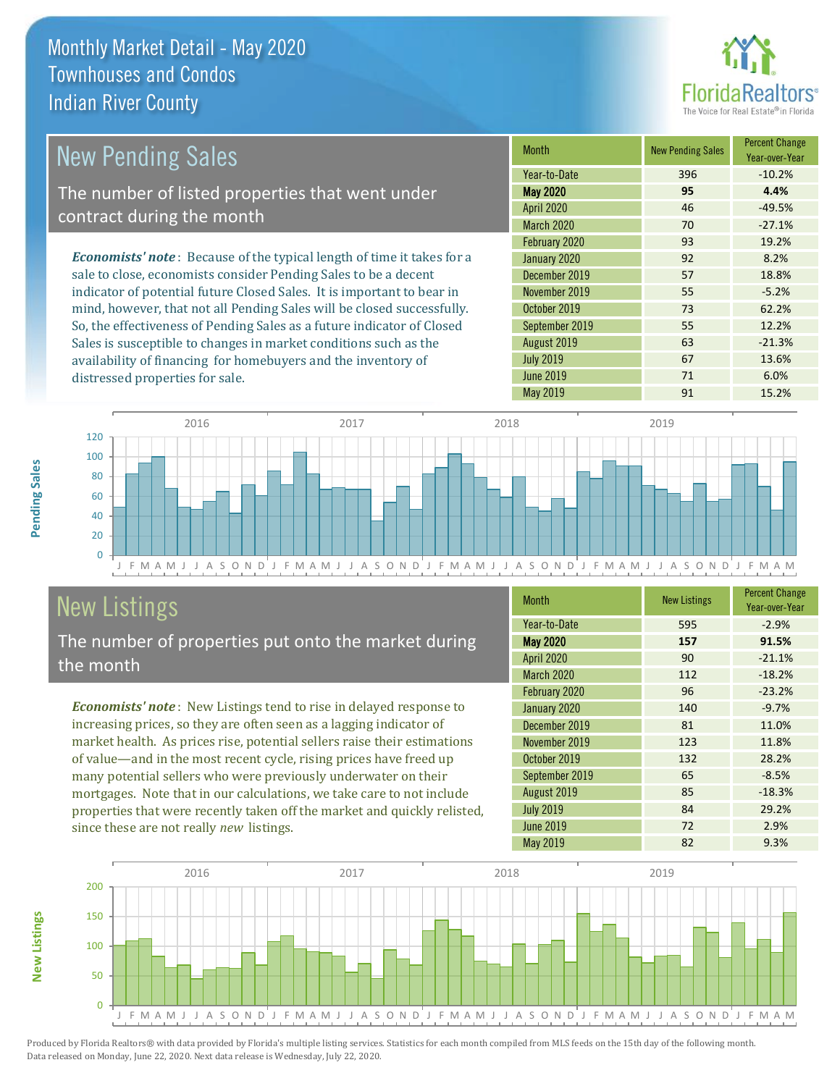distressed properties for sale.



| <b>New Pending Sales</b>                                                       | <b>Month</b>      | <b>New Pending Sales</b> | <b>Percent Change</b><br>Year-over-Year |
|--------------------------------------------------------------------------------|-------------------|--------------------------|-----------------------------------------|
|                                                                                | Year-to-Date      | 396                      | $-10.2%$                                |
| The number of listed properties that went under                                | <b>May 2020</b>   | 95                       | 4.4%                                    |
| contract during the month                                                      | <b>April 2020</b> | 46                       | $-49.5%$                                |
|                                                                                | <b>March 2020</b> | 70                       | $-27.1%$                                |
|                                                                                | February 2020     | 93                       | 19.2%                                   |
| <b>Economists' note</b> : Because of the typical length of time it takes for a | January 2020      | 92                       | 8.2%                                    |
| sale to close, economists consider Pending Sales to be a decent                | December 2019     | 57                       | 18.8%                                   |
| indicator of potential future Closed Sales. It is important to bear in         | November 2019     | 55                       | $-5.2%$                                 |
| mind, however, that not all Pending Sales will be closed successfully.         | October 2019      | 73                       | 62.2%                                   |
| So, the effectiveness of Pending Sales as a future indicator of Closed         | September 2019    | 55                       | 12.2%                                   |

J F M A M J J A S O N D J F M A M J J A S O N D J F M A M J J A S O N D J F M A M J J A S O N D J F M A M  $\overline{0}$ 20 40 60 80 100 120 2016 2017 2017 2018 2019 2019

# New Listings

The number of properties put onto the market during the month

Sales is susceptible to changes in market conditions such as the availability of financing for homebuyers and the inventory of

*Economists' note* : New Listings tend to rise in delayed response to increasing prices, so they are often seen as a lagging indicator of market health. As prices rise, potential sellers raise their estimations of value—and in the most recent cycle, rising prices have freed up many potential sellers who were previously underwater on their mortgages. Note that in our calculations, we take care to not include properties that were recently taken off the market and quickly relisted, since these are not really *new* listings.

| <b>Month</b>      | <b>New Listings</b> | <b>Percent Change</b><br>Year-over-Year |
|-------------------|---------------------|-----------------------------------------|
| Year-to-Date      | 595                 | $-2.9%$                                 |
| <b>May 2020</b>   | 157                 | 91.5%                                   |
| <b>April 2020</b> | 90                  | $-21.1%$                                |
| March 2020        | 112                 | $-18.2%$                                |
| February 2020     | 96                  | $-23.2%$                                |
| January 2020      | 140                 | $-9.7%$                                 |
| December 2019     | 81                  | 11.0%                                   |
| November 2019     | 123                 | 11.8%                                   |
| October 2019      | 132                 | 28.2%                                   |
| September 2019    | 65                  | $-8.5%$                                 |
| August 2019       | 85                  | $-18.3%$                                |
| <b>July 2019</b>  | 84                  | 29.2%                                   |
| <b>June 2019</b>  | 72                  | 2.9%                                    |
| <b>May 2019</b>   | 82                  | 9.3%                                    |

May 2019 **91** 15.2%

July 2019 **67** 13.6% June 2019 71 6.0%

August 2019 **63** -21.3%



Produced by Florida Realtors® with data provided by Florida's multiple listing services. Statistics for each month compiled from MLS feeds on the 15th day of the following month. Data released on Monday, June 22, 2020. Next data release is Wednesday, July 22, 2020.

**New Listings**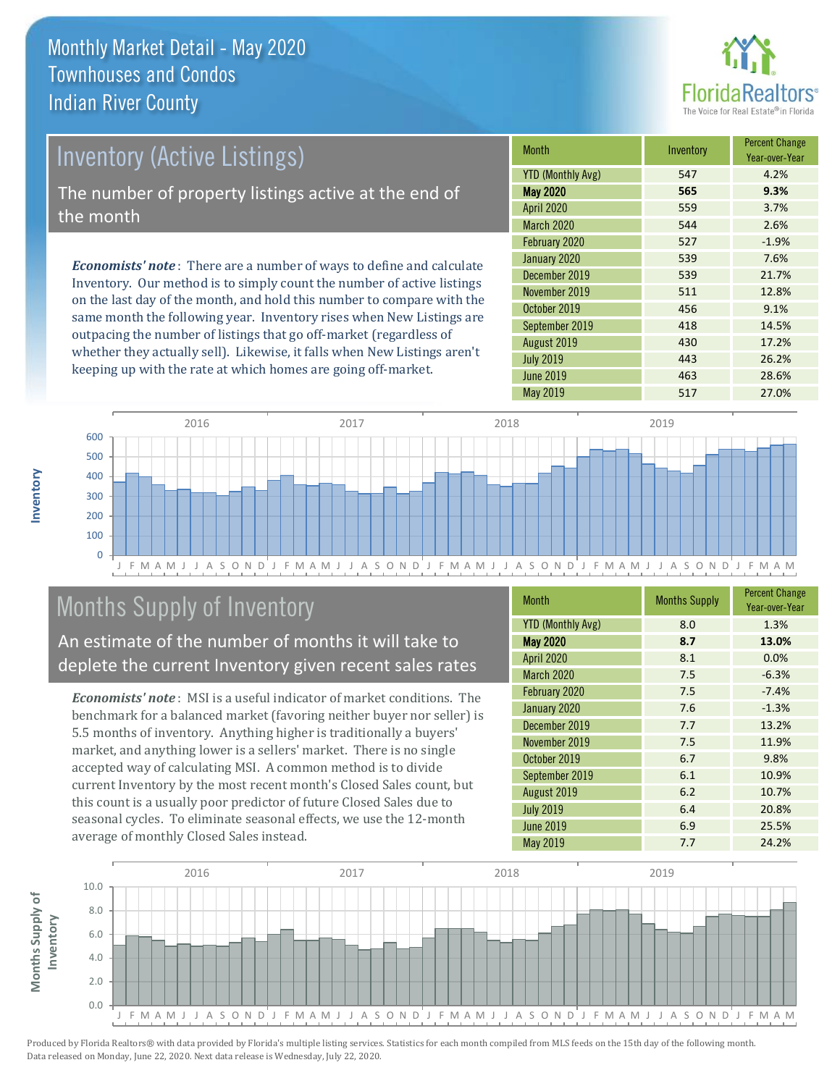

### Inventory (Active Listings) The number of property listings active at the end of the month

*Economists' note* : There are a number of ways to define and calculate Inventory. Our method is to simply count the number of active listings on the last day of the month, and hold this number to compare with the same month the following year. Inventory rises when New Listings are outpacing the number of listings that go off-market (regardless of whether they actually sell). Likewise, it falls when New Listings aren't keeping up with the rate at which homes are going off-market.

| <b>Month</b>             | Inventory | <b>Percent Change</b><br>Year-over-Year |
|--------------------------|-----------|-----------------------------------------|
| <b>YTD (Monthly Avg)</b> | 547       | 4.2%                                    |
| <b>May 2020</b>          | 565       | 9.3%                                    |
| <b>April 2020</b>        | 559       | 3.7%                                    |
| <b>March 2020</b>        | 544       | 2.6%                                    |
| February 2020            | 527       | $-1.9%$                                 |
| January 2020             | 539       | 7.6%                                    |
| December 2019            | 539       | 21.7%                                   |
| November 2019            | 511       | 12.8%                                   |
| October 2019             | 456       | 9.1%                                    |
| September 2019           | 418       | 14.5%                                   |
| August 2019              | 430       | 17.2%                                   |
| <b>July 2019</b>         | 443       | 26.2%                                   |
| <b>June 2019</b>         | 463       | 28.6%                                   |
| May 2019                 | 517       | 27.0%                                   |



# Months Supply of Inventory

An estimate of the number of months it will take to deplete the current Inventory given recent sales rates

*Economists' note* : MSI is a useful indicator of market conditions. The benchmark for a balanced market (favoring neither buyer nor seller) is 5.5 months of inventory. Anything higher is traditionally a buyers' market, and anything lower is a sellers' market. There is no single accepted way of calculating MSI. A common method is to divide current Inventory by the most recent month's Closed Sales count, but this count is a usually poor predictor of future Closed Sales due to seasonal cycles. To eliminate seasonal effects, we use the 12-month average of monthly Closed Sales instead.

| <b>Month</b>             | <b>Months Supply</b> | <b>Percent Change</b><br>Year-over-Year |
|--------------------------|----------------------|-----------------------------------------|
| <b>YTD (Monthly Avg)</b> | 8.0                  | 1.3%                                    |
| <b>May 2020</b>          | 8.7                  | 13.0%                                   |
| April 2020               | 8.1                  | 0.0%                                    |
| March 2020               | 7.5                  | $-6.3%$                                 |
| February 2020            | 7.5                  | $-7.4%$                                 |
| January 2020             | 7.6                  | $-1.3%$                                 |
| December 2019            | 7.7                  | 13.2%                                   |
| November 2019            | 7.5                  | 11.9%                                   |
| October 2019             | 6.7                  | 9.8%                                    |
| September 2019           | 6.1                  | 10.9%                                   |
| August 2019              | 6.2                  | 10.7%                                   |
| <b>July 2019</b>         | 6.4                  | 20.8%                                   |
| <b>June 2019</b>         | 6.9                  | 25.5%                                   |
| <b>May 2019</b>          | 7.7                  | 24.2%                                   |

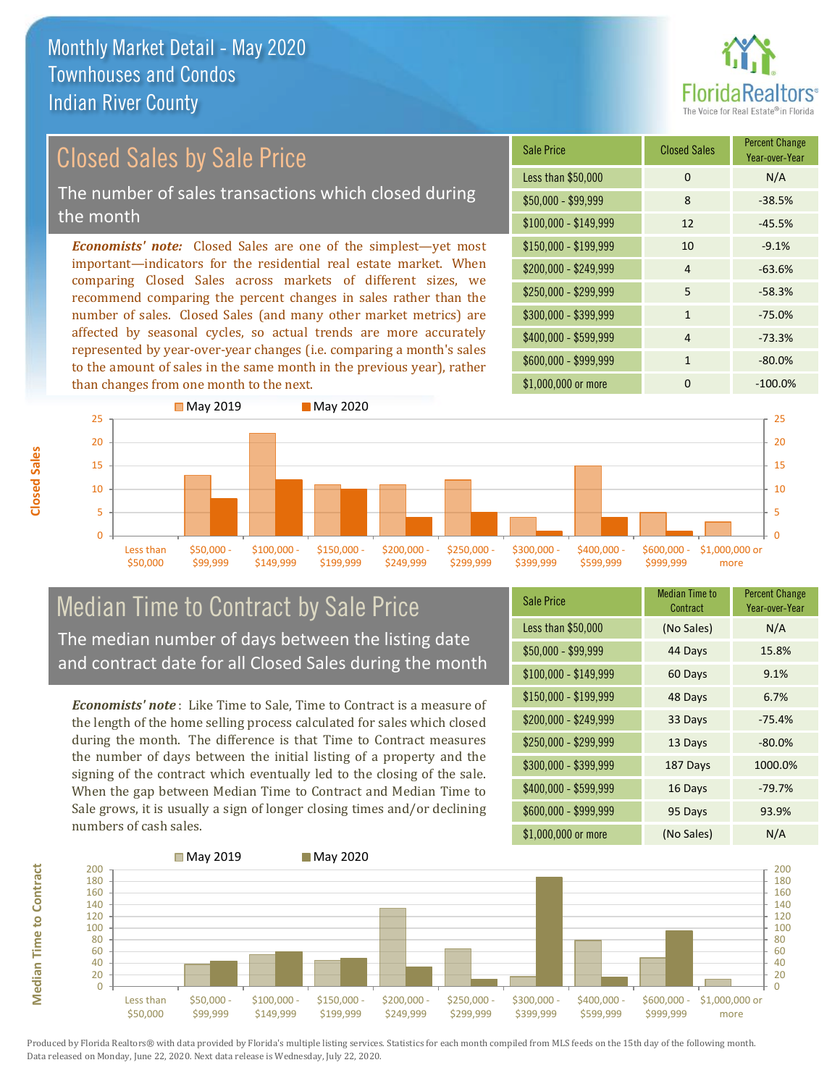

# Closed Sales by Sale Price

The number of sales transactions which closed during the month

*Economists' note:* Closed Sales are one of the simplest—yet most important—indicators for the residential real estate market. When comparing Closed Sales across markets of different sizes, we recommend comparing the percent changes in sales rather than the number of sales. Closed Sales (and many other market metrics) are affected by seasonal cycles, so actual trends are more accurately represented by year-over-year changes (i.e. comparing a month's sales to the amount of sales in the same month in the previous year), rather than changes from one month to the next.





### Median Time to Contract by Sale Price The median number of days between the listing date and contract date for all Closed Sales during the month

*Economists' note* : Like Time to Sale, Time to Contract is a measure of the length of the home selling process calculated for sales which closed during the month. The difference is that Time to Contract measures the number of days between the initial listing of a property and the signing of the contract which eventually led to the closing of the sale. When the gap between Median Time to Contract and Median Time to Sale grows, it is usually a sign of longer closing times and/or declining numbers of cash sales.

| Sale Price            | <b>Median Time to</b><br>Contract | <b>Percent Change</b><br>Year-over-Year |
|-----------------------|-----------------------------------|-----------------------------------------|
| Less than \$50,000    | (No Sales)                        | N/A                                     |
| $$50,000 - $99,999$   | 44 Days                           | 15.8%                                   |
| $$100,000 - $149,999$ | 60 Days                           | 9.1%                                    |
| $$150,000 - $199,999$ | 48 Days                           | 6.7%                                    |
| \$200,000 - \$249,999 | 33 Days                           | $-75.4%$                                |
| \$250,000 - \$299,999 | 13 Days                           | $-80.0%$                                |
| \$300,000 - \$399,999 | 187 Days                          | 1000.0%                                 |
| \$400,000 - \$599,999 | 16 Days                           | $-79.7%$                                |
| \$600,000 - \$999,999 | 95 Days                           | 93.9%                                   |
| \$1,000,000 or more   | (No Sales)                        | N/A                                     |



**Closed Sales**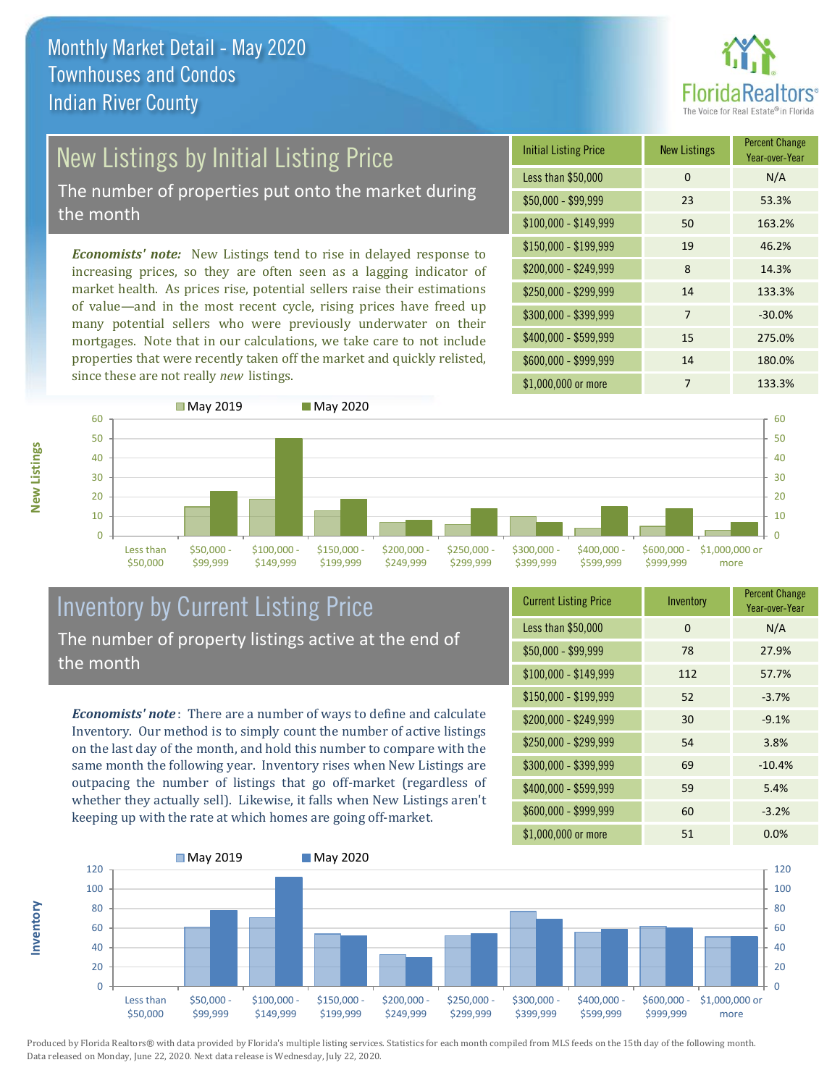

# New Listings by Initial Listing Price

The number of properties put onto the market during the month

*Economists' note:* New Listings tend to rise in delayed response to increasing prices, so they are often seen as a lagging indicator of market health. As prices rise, potential sellers raise their estimations of value—and in the most recent cycle, rising prices have freed up many potential sellers who were previously underwater on their mortgages. Note that in our calculations, we take care to not include properties that were recently taken off the market and quickly relisted, since these are not really *new* listings.

| <b>Initial Listing Price</b> | <b>New Listings</b> | <b>Percent Change</b><br>Year-over-Year |
|------------------------------|---------------------|-----------------------------------------|
| Less than \$50,000           | 0                   | N/A                                     |
| $$50,000 - $99,999$          | 23                  | 53.3%                                   |
| $$100,000 - $149,999$        | 50                  | 163.2%                                  |
| $$150,000 - $199,999$        | 19                  | 46.2%                                   |
| \$200,000 - \$249,999        | 8                   | 14.3%                                   |
| \$250,000 - \$299,999        | 14                  | 133.3%                                  |
| \$300,000 - \$399,999        | $\overline{7}$      | $-30.0%$                                |
| \$400,000 - \$599,999        | 15                  | 275.0%                                  |
| \$600,000 - \$999,999        | 14                  | 180.0%                                  |
| \$1,000,000 or more          | 7                   | 133.3%                                  |



### Inventory by Current Listing Price The number of property listings active at the end of the month

*Economists' note* : There are a number of ways to define and calculate Inventory. Our method is to simply count the number of active listings on the last day of the month, and hold this number to compare with the same month the following year. Inventory rises when New Listings are outpacing the number of listings that go off-market (regardless of whether they actually sell). Likewise, it falls when New Listings aren't keeping up with the rate at which homes are going off-market.

| <b>Current Listing Price</b> | Inventory | <b>Percent Change</b><br>Year-over-Year |
|------------------------------|-----------|-----------------------------------------|
| Less than \$50,000           | $\Omega$  | N/A                                     |
| $$50,000 - $99,999$          | 78        | 27.9%                                   |
| \$100,000 - \$149,999        | 112       | 57.7%                                   |
| $$150,000 - $199,999$        | 52        | $-3.7%$                                 |
| \$200,000 - \$249,999        | 30        | $-9.1%$                                 |
| \$250,000 - \$299,999        | 54        | 3.8%                                    |
| \$300,000 - \$399,999        | 69        | $-10.4%$                                |
| \$400,000 - \$599,999        | 59        | 5.4%                                    |
| \$600,000 - \$999,999        | 60        | $-3.2%$                                 |
| \$1,000,000 or more          | 51        | 0.0%                                    |



Produced by Florida Realtors® with data provided by Florida's multiple listing services. Statistics for each month compiled from MLS feeds on the 15th day of the following month. Data released on Monday, June 22, 2020. Next data release is Wednesday, July 22, 2020.

**Inventory**